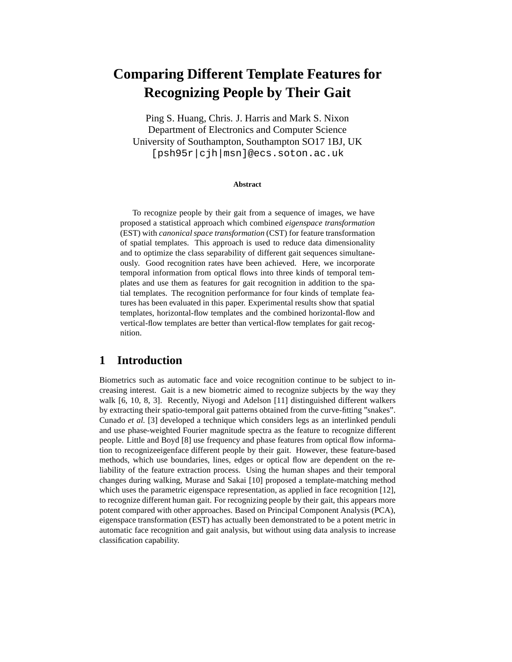# **Comparing Different Template Features for Recognizing People by Their Gait**

Ping S. Huang, Chris. J. Harris and Mark S. Nixon Department of Electronics and Computer Science University of Southampton, Southampton SO17 1BJ, UK [psh95r|cjh|msn]@ecs.soton.ac.uk

#### **Abstract**

To recognize people by their gait from a sequence of images, we have proposed a statistical approach which combined *eigenspace transformation* (EST) with *canonical space transformation* (CST) for feature transformation of spatial templates. This approach is used to reduce data dimensionality and to optimize the class separability of different gait sequences simultaneously. Good recognition rates have been achieved. Here, we incorporate temporal information from optical flows into three kinds of temporal templates and use them as features for gait recognition in addition to the spatial templates. The recognition performance for four kinds of template features has been evaluated in this paper. Experimental results show that spatial templates, horizontal-flow templates and the combined horizontal-flow and vertical-flow templates are better than vertical-flow templates for gait recognition.

### **1 Introduction**

Biometrics such as automatic face and voice recognition continue to be subject to increasing interest. Gait is a new biometric aimed to recognize subjects by the way they walk [6, 10, 8, 3]. Recently, Niyogi and Adelson [11] distinguished different walkers by extracting their spatio-temporal gait patterns obtained from the curve-fitting "snakes". Cunado *et al.* [3] developed a technique which considers legs as an interlinked penduli and use phase-weighted Fourier magnitude spectra as the feature to recognize different people. Little and Boyd [8] use frequency and phase features from optical flow information to recognizeeigenface different people by their gait. However, these feature-based methods, which use boundaries, lines, edges or optical flow are dependent on the reliability of the feature extraction process. Using the human shapes and their temporal changes during walking, Murase and Sakai [10] proposed a template-matching method which uses the parametric eigenspace representation, as applied in face recognition [12], to recognize different human gait. For recognizing people by their gait, this appears more potent compared with other approaches. Based on Principal Component Analysis (PCA), eigenspace transformation (EST) has actually been demonstrated to be a potent metric in automatic face recognition and gait analysis, but without using data analysis to increase classification capability.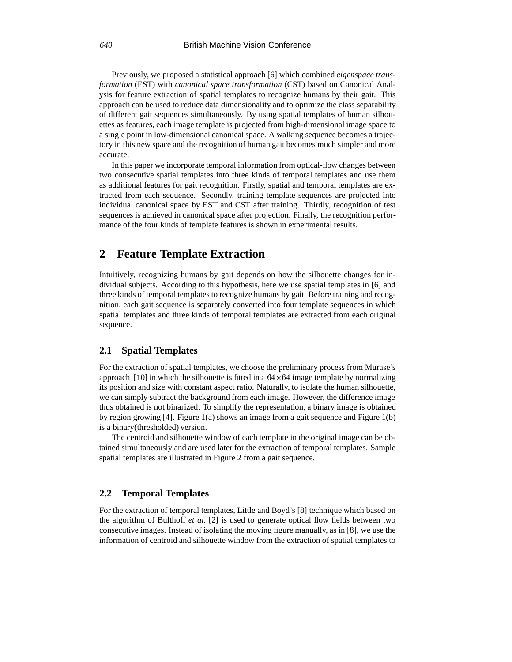Previously, we proposed a statistical approach [6] which combined *eigenspace transformation* (EST) with *canonical space transformation* (CST) based on Canonical Analysis for feature extraction of spatial templates to recognize humans by their gait. This approach can be used to reduce data dimensionality and to optimize the class separability of different gait sequences simultaneously. By using spatial templates of human silhouettes as features, each image template is projected from high-dimensional image space to a single point in low-dimensional canonical space. A walking sequence becomes a trajectory in this new space and the recognition of human gait becomes much simpler and more accurate.

In this paper we incorporate temporal information from optical-flow changes between two consecutive spatial templates into three kinds of temporal templates and use them as additional features for gait recognition. Firstly, spatial and temporal templates are extracted from each sequence. Secondly, training template sequences are projected into individual canonical space by EST and CST after training. Thirdly, recognition of test sequences is achieved in canonical space after projection. Finally, the recognition performance of the four kinds of template features is shown in experimental results.

### **2 Feature Template Extraction**

Intuitively, recognizing humans by gait depends on how the silhouette changes for individual subjects. According to this hypothesis, here we use spatial templates in [6] and three kinds of temporal templates to recognize humans by gait. Before training and recognition, each gait sequence is separately converted into four template sequences in which spatial templates and three kinds of temporal templates are extracted from each original sequence.

#### **2.1 Spatial Templates**

For the extraction of spatial templates, we choose the preliminary process from Murase's approach [10] in which the silhouette is fitted in a  $64\times64$  image template by normalizing its position and size with constant aspect ratio. Naturally, to isolate the human silhouette, we can simply subtract the background from each image. However, the difference image thus obtained is not binarized. To simplify the representation, a binary image is obtained by region growing [4]. Figure 1(a) shows an image from a gait sequence and Figure 1(b) is a binary(thresholded) version.

The centroid and silhouette window of each template in the original image can be obtained simultaneously and are used later for the extraction of temporal templates. Sample spatial templates are illustrated in Figure 2 from a gait sequence.

#### **2.2 Temporal Templates**

For the extraction of temporal templates, Little and Boyd's [8] technique which based on the algorithm of Bulthoff *et al.* [2] is used to generate optical flow fields between two consecutive images. Instead of isolating the moving figure manually, as in [8], we use the information of centroid and silhouette window from the extraction of spatial templates to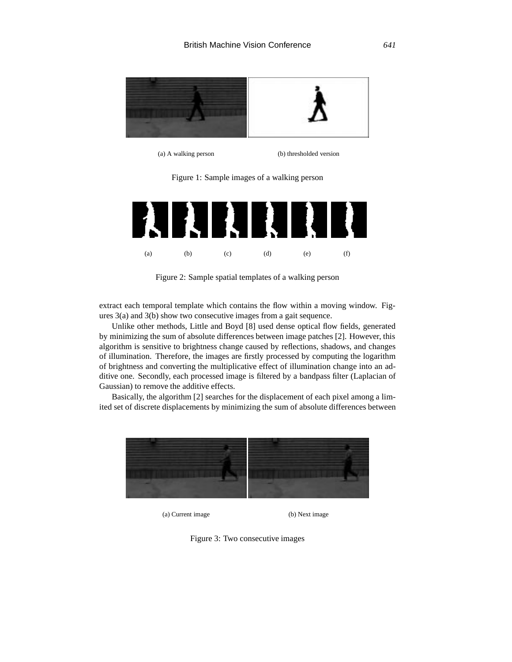

(a) A walking person (b) thresholded version

Figure 1: Sample images of a walking person



Figure 2: Sample spatial templates of a walking person

extract each temporal template which contains the flow within a moving window. Figures 3(a) and 3(b) show two consecutive images from a gait sequence.

Unlike other methods, Little and Boyd [8] used dense optical flow fields, generated by minimizing the sum of absolute differences between image patches [2]. However, this algorithm is sensitive to brightness change caused by reflections, shadows, and changes of illumination. Therefore, the images are firstly processed by computing the logarithm of brightness and converting the multiplicative effect of illumination change into an additive one. Secondly, each processed image is filtered by a bandpass filter (Laplacian of Gaussian) to remove the additive effects.

Basically, the algorithm [2] searches for the displacement of each pixel among a limited set of discrete displacements by minimizing the sum of absolute differences between



(a) Current image (b) Next image

Figure 3: Two consecutive images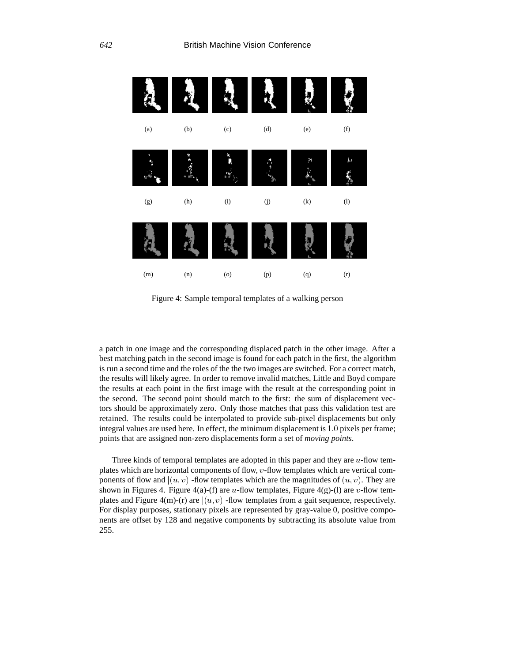

Figure 4: Sample temporal templates of a walking person

a patch in one image and the corresponding displaced patch in the other image. After a best matching patch in the second image is found for each patch in the first, the algorithm is run a second time and the roles of the the two images are switched. For a correct match, the results will likely agree. In order to remove invalid matches, Little and Boyd compare the results at each point in the first image with the result at the corresponding point in the second. The second point should match to the first: the sum of displacement vectors should be approximately zero. Only those matches that pass this validation test are retained. The results could be interpolated to provide sub-pixel displacements but only integral values are used here. In effect, the minimum displacement is 1:0 pixels per frame; points that are assigned non-zero displacements form a set of *moving points*.

Three kinds of temporal templates are adopted in this paper and they are  $u$ -flow templates which are horizontal components of flow, <sup>v</sup>-flow templates which are vertical components of flow and  $|(u, v)|$ -flow templates which are the magnitudes of  $(u, v)$ . They are shown in Figures 4. Figure 4(a)-(f) are *u*-flow templates, Figure 4(g)-(l) are *v*-flow templates and Figure 4(m)-(r) are  $|(u, v)|$ -flow templates from a gait sequence, respectively. For display purposes, stationary pixels are represented by gray-value 0, positive components are offset by 128 and negative components by subtracting its absolute value from 255.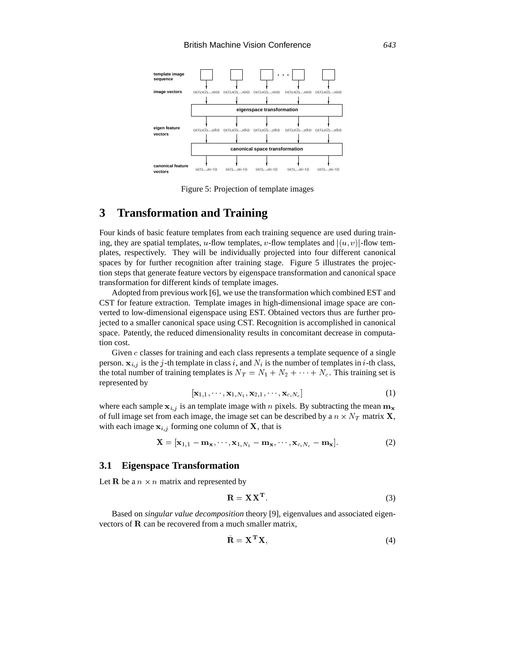

Figure 5: Projection of template images

### **3 Transformation and Training**

Four kinds of basic feature templates from each training sequence are used during training, they are spatial templates, u-flow templates, v-flow templates and  $|(u, v)|$ -flow templates, respectively. They will be individually projected into four different canonical spaces by for further recognition after training stage. Figure 5 illustrates the projection steps that generate feature vectors by eigenspace transformation and canonical space transformation for different kinds of template images.

Adopted from previous work [6], we use the transformation which combined EST and CST for feature extraction. Template images in high-dimensional image space are converted to low-dimensional eigenspace using EST. Obtained vectors thus are further projected to a smaller canonical space using CST. Recognition is accomplished in canonical space. Patently, the reduced dimensionality results in concomitant decrease in computation cost.

Given  $c$  classes for training and each class represents a template sequence of a single person.  $x_{i,j}$  is the j-th template in class i, and  $N_i$  is the number of templates in i-th class, the total number of training templates is  $N_T = N_1 + N_2 + \cdots + N_c$ . This training set is represented by

$$
\left[\mathbf{x}_{1,1},\cdots,\mathbf{x}_{1,N_1},\mathbf{x}_{2,1},\cdots,\mathbf{x}_{c,N_c}\right]
$$
\n(1)

where each sample  $x_{i,j}$  is an template image with n pixels. By subtracting the mean  $m_x$ of full image set from each image, the image set can be described by a  $n \times N_T$  matrix **X**, with each image  $x_{i,j}$  forming one column of X, that is

$$
\mathbf{X} = [\mathbf{x}_{1,1} - \mathbf{m}_{\mathbf{x}}, \cdots, \mathbf{x}_{1,N_1} - \mathbf{m}_{\mathbf{x}}, \cdots, \mathbf{x}_{c,N_c} - \mathbf{m}_{\mathbf{x}}].
$$
 (2)

#### **3.1 Eigenspace Transformation**

Let **R** be a  $n \times n$  matrix and represented by

$$
\mathbf{R} = \mathbf{X} \mathbf{X}^{\mathbf{T}}.
$$
 (3)

Based on *singular value decomposition* theory [9], eigenvalues and associated eigenvectors of <sup>R</sup> can be recovered from a much smaller matrix,

$$
\mathbf{R} = \mathbf{X}^{\mathrm{T}} \mathbf{X},\tag{4}
$$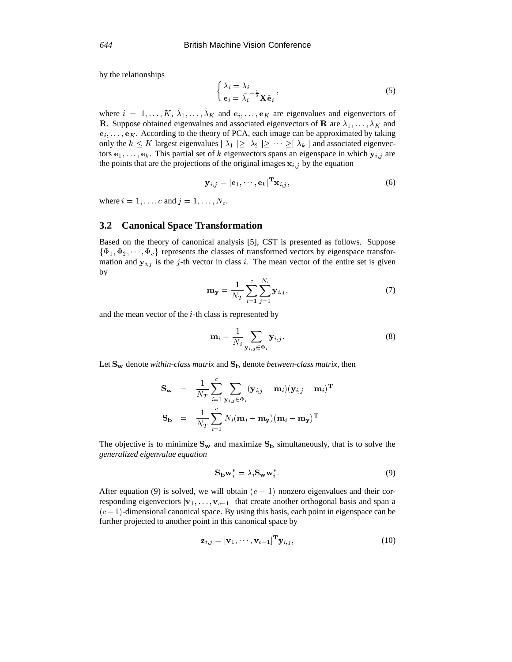by the relationships

$$
\begin{cases} \lambda_i = \tilde{\lambda}_i \\ e_i = \tilde{\lambda}_i \end{cases} \cdot \n\mathbf{X} \tilde{\mathbf{e}}_i \tag{5}
$$

where  $i = 1, \ldots, K, \lambda_1, \ldots, \lambda_K$  and  $\tilde{e}_i, \ldots, \tilde{e}_K$  are eigenvalues and eigenvectors of **R**. Suppose obtained eigenvalues and associated eigenvectors of **R** are  $\lambda_1, \ldots, \lambda_K$  and  $e_i, \ldots, e_K$ . According to the theory of PCA, each image can be approximated by taking only the  $k \le K$  largest eigenvalues  $|\lambda_1| \ge |\lambda_2| \ge \cdots \ge |\lambda_k|$  and associated eigenvectors  $e_1$ , ...,  $e_k$ . This partial set of k eigenvectors spans an eigenspace in which  $y_{i,j}$  are the points that are the projections of the original images  $x_{i,j}$  by the equation

$$
\mathbf{y}_{i,j} = [\mathbf{e}_1, \cdots, \mathbf{e}_k]^{\mathrm{T}} \mathbf{x}_{i,j}, \qquad (6)
$$

where  $i = 1, \ldots, c$  and  $j = 1, \ldots, N_c$ .

#### **3.2 Canonical Space Transformation**

Based on the theory of canonical analysis [5], CST is presented as follows. Suppose  $\{\Phi_1, \Phi_2, \cdots, \Phi_c\}$  represents the classes of transformed vectors by eigenspace transformation and  $y_{i,j}$  is the j-th vector in class i. The mean vector of the entire set is given by

$$
\mathbf{m}_{\mathbf{y}} = \frac{1}{N_T} \sum_{i=1}^{c} \sum_{j=1}^{N_i} \mathbf{y}_{i,j},
$$
(7)

and the mean vector of the <sup>i</sup>-th class is represented by

$$
\mathbf{m}_{i} = \frac{1}{N_{i}} \sum_{\mathbf{y}_{i,j} \in \Phi_{i}} \mathbf{y}_{i,j}.
$$
 (8)

Let  $S_w$  denote *within-class matrix* and  $S_b$  denote *between-class matrix*, then

$$
\begin{array}{rcl} \mathbf{S_w} & = & \displaystyle \frac{1}{N_T} \sum_{i=1}^{c} \sum_{\mathbf{y}_{i,j} \in \Phi_i} (\mathbf{y}_{i,j} - \mathbf{m}_i)(\mathbf{y}_{i,j} - \mathbf{m}_i)^{\mathbf{T}} \\ \mathbf{S_b} & = & \displaystyle \frac{1}{N_T} \sum_{i=1}^{c} N_i (\mathbf{m}_i - \mathbf{m_y})(\mathbf{m}_i - \mathbf{m_y})^{\mathbf{T}} \end{array}
$$

The objective is to minimize  $S_w$  and maximize  $S_b$  simultaneously, that is to solve the *generalized eigenvalue equation*

$$
\mathbf{S}_{\mathbf{b}} \mathbf{w}_i^* = \lambda_i \mathbf{S}_{\mathbf{w}} \mathbf{w}_i^* \tag{9}
$$

After equation (9) is solved, we will obtain  $(c - 1)$  nonzero eigenvalues and their corresponding eigenvectors  $[v_1, \ldots, v_{c-1}]$  that create another orthogonal basis and span a  $(c - 1)$ -dimensional canonical space. By using this basis, each point in eigenspace can be further projected to another point in this canonical space by

$$
\mathbf{z}_{i,j} = [\mathbf{v}_1, \cdots, \mathbf{v}_{c-1}]^{\mathbf{T}} \mathbf{y}_{i,j},\tag{10}
$$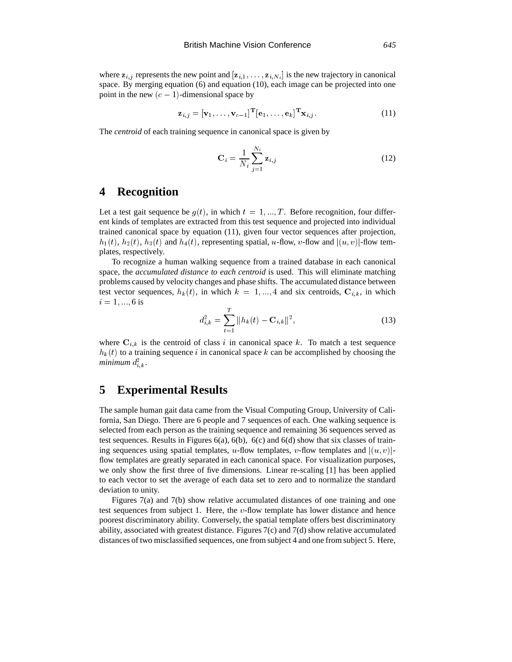where  $z_{i,j}$  represents the new point and  $[z_{i,1},...,z_{i,N_i}]$  is the new trajectory in canonical space. By merging equation (6) and equation (10), each image can be projected into one point in the new  $(c - 1)$ -dimensional space by

$$
\mathbf{z}_{i,j} = [\mathbf{v}_1, \dots, \mathbf{v}_{c-1}]^{\mathrm{T}} [\mathbf{e}_1, \dots, \mathbf{e}_k]^{\mathrm{T}} \mathbf{x}_{i,j}.
$$
 (11)

The *centroid* of each training sequence in canonical space is given by

$$
\mathbf{C}_{i} = \frac{1}{N_{i}} \sum_{j=1}^{N_{i}} \mathbf{z}_{i,j}
$$
 (12)

### **4 Recognition**

Let a test gait sequence be  $g(t)$ , in which  $t = 1, ..., T$ . Before recognition, four different kinds of templates are extracted from this test sequence and projected into individual trained canonical space by equation (11), given four vector sequences after projection,  $h_1(t)$ ,  $h_2(t)$ ,  $h_3(t)$  and  $h_4(t)$ , representing spatial, u-flow, v-flow and  $|(u, v)|$ -flow templates, respectively.

To recognize a human walking sequence from a trained database in each canonical space, the *accumulated distance to each centroid* is used. This will eliminate matching problems caused by velocity changes and phase shifts. The accumulated distance between test vector sequences,  $h_k(t)$ , in which  $k = 1, ..., 4$  and six centroids,  $C_{i,k}$ , in which  $i = 1, ..., 6$  is

$$
d_{i,k}^2 = \sum_{t=1}^T ||h_k(t) - \mathbf{C}_{i,k}||^2,
$$
\n(13)

where  $C_{i,k}$  is the centroid of class i in canonical space k. To match a test sequence  $h_k(t)$  to a training sequence i in canonical space k can be accomplished by choosing the  $minimum\ d_{i,k}^2$  .

### **5 Experimental Results**

The sample human gait data came from the Visual Computing Group, University of California, San Diego. There are 6 people and 7 sequences of each. One walking sequence is selected from each person as the training sequence and remaining 36 sequences served as test sequences. Results in Figures  $6(a)$ ,  $6(b)$ ,  $6(c)$  and  $6(d)$  show that six classes of training sequences using spatial templates, u-flow templates, v-flow templates and  $|(u, v)|$ flow templates are greatly separated in each canonical space. For visualization purposes, we only show the first three of five dimensions. Linear re-scaling [1] has been applied to each vector to set the average of each data set to zero and to normalize the standard deviation to unity.

Figures 7(a) and 7(b) show relative accumulated distances of one training and one test sequences from subject 1. Here, the  $v$ -flow template has lower distance and hence poorest discriminatory ability. Conversely, the spatial template offers best discriminatory ability, associated with greatest distance. Figures 7(c) and 7(d) show relative accumulated distances of two misclassified sequences, one from subject 4 and one from subject 5. Here,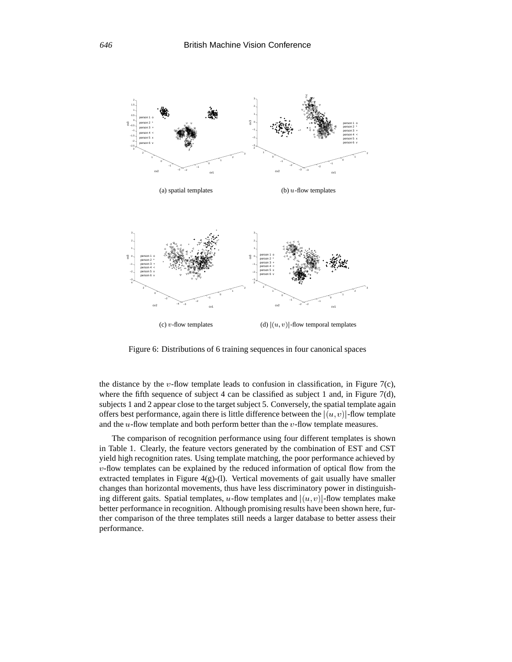

Figure 6: Distributions of 6 training sequences in four canonical spaces

the distance by the v-flow template leads to confusion in classification, in Figure 7(c), where the fifth sequence of subject 4 can be classified as subject 1 and, in Figure 7(d), subjects 1 and 2 appear close to the target subject 5. Conversely, the spatial template again offers best performance, again there is little difference between the  $|(u, v)|$ -flow template and the  $u$ -flow template and both perform better than the  $v$ -flow template measures.

The comparison of recognition performance using four different templates is shown in Table 1. Clearly, the feature vectors generated by the combination of EST and CST yield high recognition rates. Using template matching, the poor performance achieved by  $v$ -flow templates can be explained by the reduced information of optical flow from the extracted templates in Figure  $4(g)$ -(1). Vertical movements of gait usually have smaller changes than horizontal movements, thus have less discriminatory power in distinguishing different gaits. Spatial templates, u-flow templates and  $|(u, v)|$ -flow templates make better performance in recognition. Although promising results have been shown here, further comparison of the three templates still needs a larger database to better assess their performance.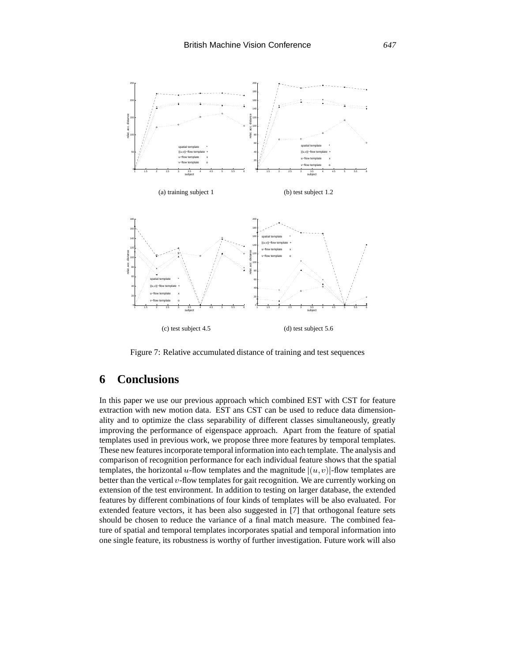

Figure 7: Relative accumulated distance of training and test sequences

# **6 Conclusions**

In this paper we use our previous approach which combined EST with CST for feature extraction with new motion data. EST ans CST can be used to reduce data dimensionality and to optimize the class separability of different classes simultaneously, greatly improving the performance of eigenspace approach. Apart from the feature of spatial templates used in previous work, we propose three more features by temporal templates. These new features incorporate temporal information into each template. The analysis and comparison of recognition performance for each individual feature shows that the spatial templates, the horizontal u-flow templates and the magnitude  $|(u, v)|$ -flow templates are better than the vertical  $v$ -flow templates for gait recognition. We are currently working on extension of the test environment. In addition to testing on larger database, the extended features by different combinations of four kinds of templates will be also evaluated. For extended feature vectors, it has been also suggested in [7] that orthogonal feature sets should be chosen to reduce the variance of a final match measure. The combined feature of spatial and temporal templates incorporates spatial and temporal information into one single feature, its robustness is worthy of further investigation. Future work will also